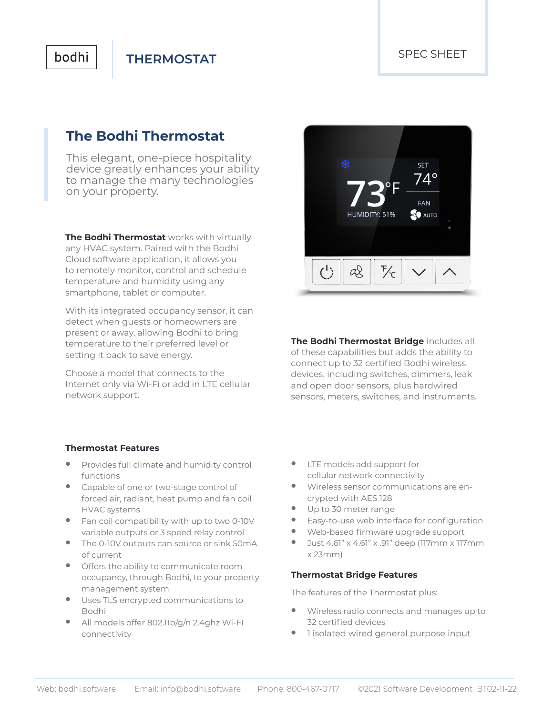## bodhi

**THERMOSTAT**

## **The Bodhi Thermostat**

This elegant, one-piece hospitality device greatly enhances your ability to manage the many technologies on your property.

**The Bodhi Thermostat** works with virtually any HVAC system. Paired with the Bodhi Cloud software application, it allows you to remotely monitor, control and schedule temperature and humidity using any smartphone, tablet or computer.

With its integrated occupancy sensor, it can detect when guests or homeowners are present or away, allowing Bodhi to bring temperature to their preferred level or setting it back to save energy.

Choose a model that connects to the Internet only via Wi-Fi or add in LTE cellular network support.



**The Bodhi Thermostat Bridge** includes all of these capabilities but adds the ability to connect up to 32 certified Bodhi wireless devices, including switches, dimmers, leak and open door sensors, plus hardwired sensors, meters, switches, and instruments.

#### **Thermostat Features**

- **•** Provides full climate and humidity control functions
- **•** Capable of one or two-stage control of forced air, radiant, heat pump and fan coil HVAC systems
- **•** Fan coil compatibility with up to two 0-10V variable outputs or 3 speed relay control
- **•** The 0-10V outputs can source or sink 50mA of current
- **•** Offers the ability to communicate room occupancy, through Bodhi, to your property management system
- **•** Uses TLS encrypted communications to Bodhi
- **•** All models offer 802.11b/g/n 2.4ghz Wi-FI connectivity
- **•** LTE models add support for cellular network connectivity
- **•** Wireless sensor communications are encrypted with AES 128
- **•** Up to 30 meter range
- **•** Easy-to-use web interface for configuration
- **•** Web-based firmware upgrade support
- **•** Just 4.61" x 4.61" x .91" deep (117mm x 117mm x 23mm)

#### **Thermostat Bridge Features**

The features of the Thermostat plus:

- **•** Wireless radio connects and manages up to 32 certified devices
- **•** 1 isolated wired general purpose input